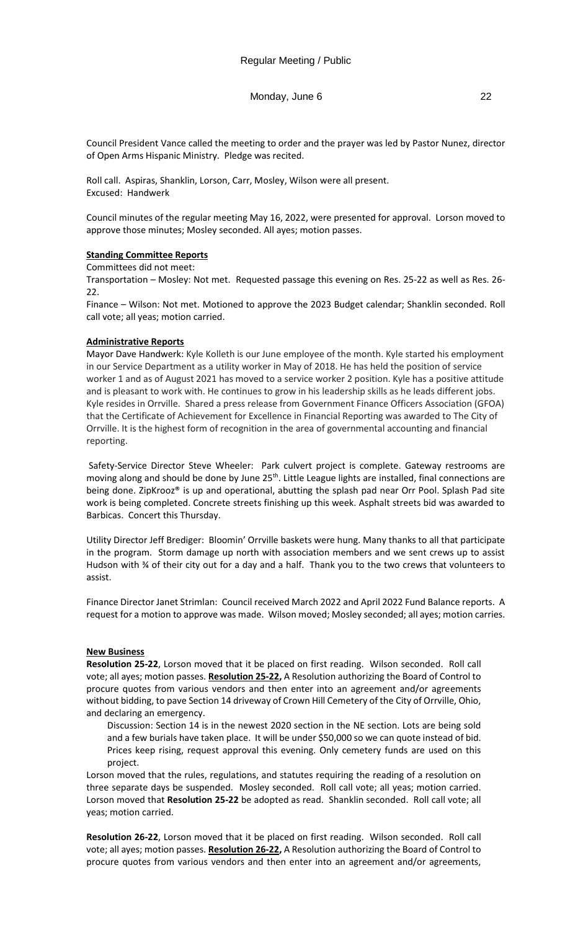Council President Vance called the meeting to order and the prayer was led by Pastor Nunez, director of Open Arms Hispanic Ministry. Pledge was recited.

Roll call. Aspiras, Shanklin, Lorson, Carr, Mosley, Wilson were all present. Excused: Handwerk

Council minutes of the regular meeting May 16, 2022, were presented for approval. Lorson moved to approve those minutes; Mosley seconded. All ayes; motion passes.

# **Standing Committee Reports**

Committees did not meet:

Transportation – Mosley: Not met. Requested passage this evening on Res. 25-22 as well as Res. 26- 22.

Finance – Wilson: Not met. Motioned to approve the 2023 Budget calendar; Shanklin seconded. Roll call vote; all yeas; motion carried.

### **Administrative Reports**

Mayor Dave Handwerk: Kyle Kolleth is our June employee of the month. Kyle started his employment in our Service Department as a utility worker in May of 2018. He has held the position of service worker 1 and as of August 2021 has moved to a service worker 2 position. Kyle has a positive attitude and is pleasant to work with. He continues to grow in his leadership skills as he leads different jobs. Kyle resides in Orrville. Shared a press release from Government Finance Officers Association (GFOA) that the Certificate of Achievement for Excellence in Financial Reporting was awarded to The City of Orrville. It is the highest form of recognition in the area of governmental accounting and financial reporting.

Safety-Service Director Steve Wheeler: Park culvert project is complete. Gateway restrooms are moving along and should be done by June  $25<sup>th</sup>$ . Little League lights are installed, final connections are being done. ZipKrooz® is up and operational, abutting the splash pad near Orr Pool. Splash Pad site work is being completed. Concrete streets finishing up this week. Asphalt streets bid was awarded to Barbicas. Concert this Thursday.

Utility Director Jeff Brediger: Bloomin' Orrville baskets were hung. Many thanks to all that participate in the program. Storm damage up north with association members and we sent crews up to assist Hudson with % of their city out for a day and a half. Thank you to the two crews that volunteers to assist.

Finance Director Janet Strimlan: Council received March 2022 and April 2022 Fund Balance reports. A request for a motion to approve was made. Wilson moved; Mosley seconded; all ayes; motion carries.

### **New Business**

**Resolution 25-22**, Lorson moved that it be placed on first reading. Wilson seconded. Roll call vote; all ayes; motion passes. **Resolution 25-22,** A Resolution authorizing the Board of Control to procure quotes from various vendors and then enter into an agreement and/or agreements without bidding, to pave Section 14 driveway of Crown Hill Cemetery of the City of Orrville, Ohio, and declaring an emergency.

Discussion: Section 14 is in the newest 2020 section in the NE section. Lots are being sold and a few burials have taken place. It will be under \$50,000 so we can quote instead of bid. Prices keep rising, request approval this evening. Only cemetery funds are used on this project.

Lorson moved that the rules, regulations, and statutes requiring the reading of a resolution on three separate days be suspended. Mosley seconded. Roll call vote; all yeas; motion carried. Lorson moved that **Resolution 25-22** be adopted as read. Shanklin seconded. Roll call vote; all yeas; motion carried.

**Resolution 26-22**, Lorson moved that it be placed on first reading. Wilson seconded. Roll call vote; all ayes; motion passes. **Resolution 26-22,** A Resolution authorizing the Board of Control to procure quotes from various vendors and then enter into an agreement and/or agreements,